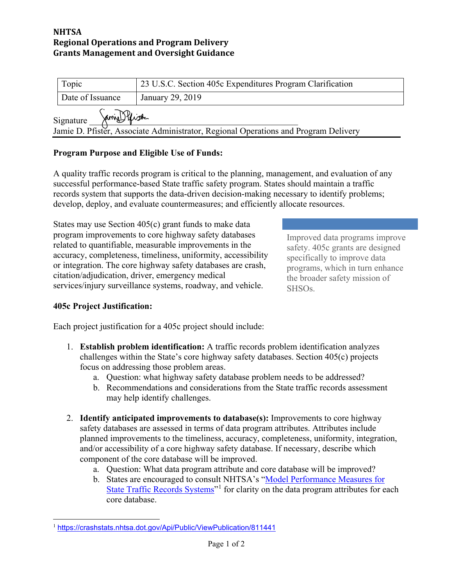### **NHTSA Regional Operations and Program Delivery Grants Management and Oversight Guidance**

| Topic                                                                                                            | 23 U.S.C. Section 405c Expenditures Program Clarification |
|------------------------------------------------------------------------------------------------------------------|-----------------------------------------------------------|
| Date of Issuance                                                                                                 | January 29, 2019                                          |
| Jamie Pfiste<br>Signature<br>Jamie D. Pfister, Associate Administrator, Regional Operations and Program Delivery |                                                           |

# **Program Purpose and Eligible Use of Funds:**

A quality traffic records program is critical to the planning, management, and evaluation of any successful performance-based State traffic safety program. States should maintain a traffic records system that supports the data-driven decision-making necessary to identify problems; develop, deploy, and evaluate countermeasures; and efficiently allocate resources.

States may use Section 405(c) grant funds to make data program improvements to core highway safety databases related to quantifiable, measurable improvements in the accuracy, completeness, timeliness, uniformity, accessibility or integration. The core highway safety databases are crash, citation/adjudication, driver, emergency medical services/injury surveillance systems, roadway, and vehicle.

Improved data programs improve safety. 405c grants are designed specifically to improve data programs, which in turn enhance the broader safety mission of SHSOs.

### **405c Project Justification:**

Each project justification for a 405c project should include:

- 1. **Establish problem identification:** A traffic records problem identification analyzes challenges within the State's core highway safety databases. Section 405(c) projects focus on addressing those problem areas.
	- a. Question: what highway safety database problem needs to be addressed?
	- b. Recommendations and considerations from the State traffic records assessment may help identify challenges.
- 2. **Identify anticipated improvements to database(s):** Improvements to core highway safety databases are assessed in terms of data program attributes. Attributes include planned improvements to the timeliness, accuracy, completeness, uniformity, integration, and/or accessibility of a core highway safety database. If necessary, describe which component of the core database will be improved.
	- a. Question: What data program attribute and core database will be improved?
	- b. States are encouraged to consult NHTSA's ["Model Performance Measures for](https://crashstats.nhtsa.dot.gov/Api/Public/ViewPublication/811441)  [State Traffic Records Systems"](https://crashstats.nhtsa.dot.gov/Api/Public/ViewPublication/811441)<sup>[1](#page-0-0)</sup> for clarity on the data program attributes for each core database.

<span id="page-0-0"></span> $\overline{a}$ <sup>1</sup> <https://crashstats.nhtsa.dot.gov/Api/Public/ViewPublication/811441>